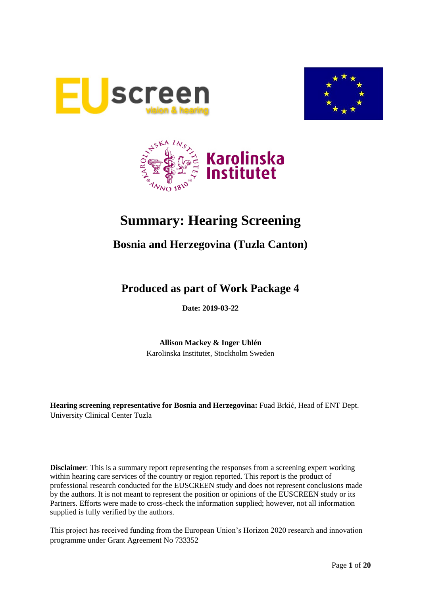





# **Summary: Hearing Screening**

## **Bosnia and Herzegovina (Tuzla Canton)**

## **Produced as part of Work Package 4**

**Date: 2019-03-22**

**Allison Mackey & Inger Uhlén** Karolinska Institutet, Stockholm Sweden

**Hearing screening representative for Bosnia and Herzegovina:** Fuad Brkić, Head of ENT Dept. University Clinical Center Tuzla

**Disclaimer**: This is a summary report representing the responses from a screening expert working within hearing care services of the country or region reported. This report is the product of professional research conducted for the EUSCREEN study and does not represent conclusions made by the authors. It is not meant to represent the position or opinions of the EUSCREEN study or its Partners. Efforts were made to cross-check the information supplied; however, not all information supplied is fully verified by the authors.

This project has received funding from the European Union's Horizon 2020 research and innovation programme under Grant Agreement No 733352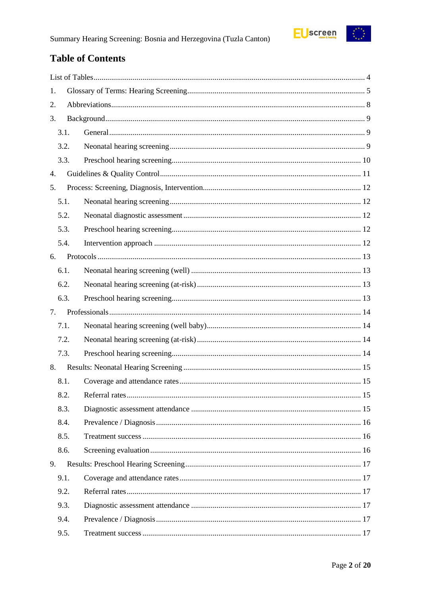## **Table of Contents**

| 1. |      |  |  |  |
|----|------|--|--|--|
| 2. |      |  |  |  |
| 3. |      |  |  |  |
|    | 3.1. |  |  |  |
|    | 3.2. |  |  |  |
|    | 3.3. |  |  |  |
| 4. |      |  |  |  |
| 5. |      |  |  |  |
|    | 5.1. |  |  |  |
|    | 5.2. |  |  |  |
|    | 5.3. |  |  |  |
|    | 5.4. |  |  |  |
| 6. |      |  |  |  |
|    | 6.1. |  |  |  |
|    | 6.2. |  |  |  |
|    | 6.3. |  |  |  |
| 7. |      |  |  |  |
|    | 7.1. |  |  |  |
|    | 7.2. |  |  |  |
|    | 7.3. |  |  |  |
| 8. |      |  |  |  |
|    | 8.1. |  |  |  |
|    | 8.2. |  |  |  |
|    | 8.3. |  |  |  |
|    | 8.4. |  |  |  |
|    | 8.5. |  |  |  |
|    | 8.6. |  |  |  |
| 9. |      |  |  |  |
|    | 9.1. |  |  |  |
|    | 9.2. |  |  |  |
|    | 9.3. |  |  |  |
|    | 9.4. |  |  |  |
|    | 9.5. |  |  |  |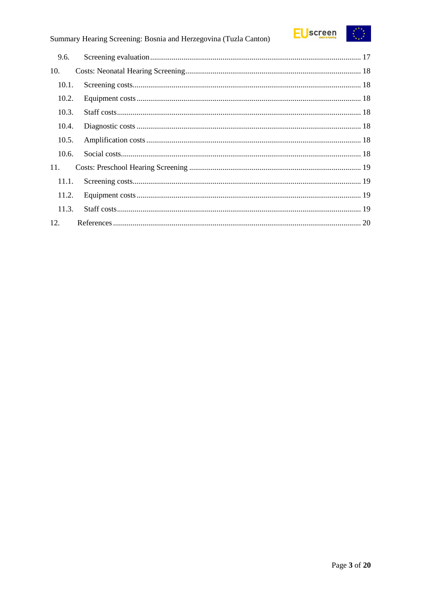

## Summary Hearing Screening: Bosnia and Herzegovina (Tuzla Canton)

| 9.6.  |  |
|-------|--|
| 10.   |  |
| 10.1. |  |
| 10.2. |  |
| 10.3. |  |
| 10.4. |  |
| 10.5. |  |
| 10.6. |  |
| 11.   |  |
| 11.1. |  |
| 11.2. |  |
| 11.3. |  |
| 12.   |  |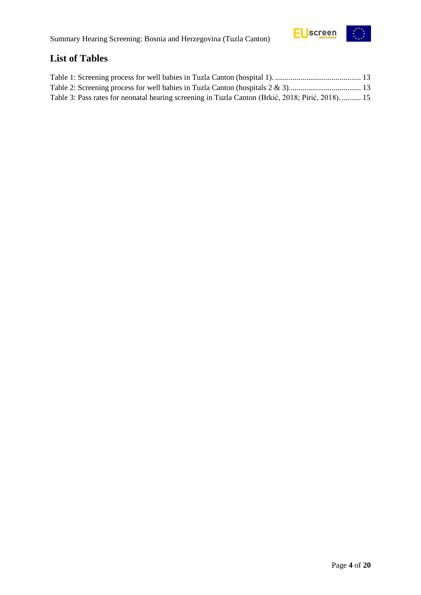

## <span id="page-3-0"></span>**List of Tables**

| Table 3: Pass rates for neonatal hearing screening in Tuzla Canton (Brkić, 2018; Pirić, 2018) 15 |  |
|--------------------------------------------------------------------------------------------------|--|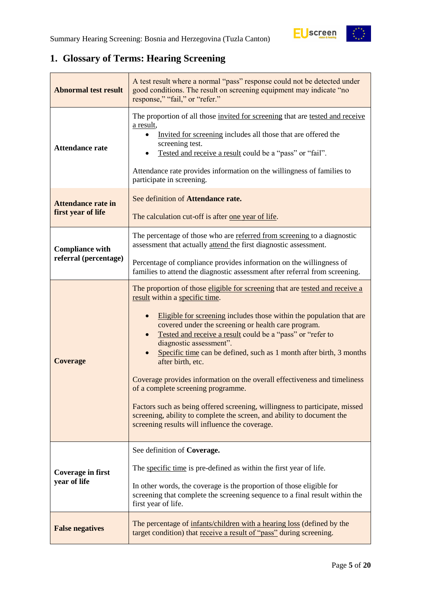## <span id="page-4-0"></span>**1. Glossary of Terms: Hearing Screening**

| <b>Abnormal test result</b>                     | A test result where a normal "pass" response could not be detected under<br>good conditions. The result on screening equipment may indicate "no<br>response," "fail," or "refer."                                                                                                                                                                                                                                                                                                                                                                                                                                                                                                                                                                                |  |  |
|-------------------------------------------------|------------------------------------------------------------------------------------------------------------------------------------------------------------------------------------------------------------------------------------------------------------------------------------------------------------------------------------------------------------------------------------------------------------------------------------------------------------------------------------------------------------------------------------------------------------------------------------------------------------------------------------------------------------------------------------------------------------------------------------------------------------------|--|--|
| <b>Attendance rate</b>                          | The proportion of all those invited for screening that are tested and receive<br>a result,<br>Invited for screening includes all those that are offered the<br>screening test.<br>Tested and receive a result could be a "pass" or "fail".<br>Attendance rate provides information on the willingness of families to<br>participate in screening.                                                                                                                                                                                                                                                                                                                                                                                                                |  |  |
| <b>Attendance rate in</b><br>first year of life | See definition of Attendance rate.<br>The calculation cut-off is after one year of life.                                                                                                                                                                                                                                                                                                                                                                                                                                                                                                                                                                                                                                                                         |  |  |
| <b>Compliance with</b>                          | The percentage of those who are referred from screening to a diagnostic<br>assessment that actually attend the first diagnostic assessment.                                                                                                                                                                                                                                                                                                                                                                                                                                                                                                                                                                                                                      |  |  |
| referral (percentage)                           | Percentage of compliance provides information on the willingness of<br>families to attend the diagnostic assessment after referral from screening.                                                                                                                                                                                                                                                                                                                                                                                                                                                                                                                                                                                                               |  |  |
| <b>Coverage</b>                                 | The proportion of those eligible for screening that are tested and receive a<br>result within a specific time.<br>Eligible for screening includes those within the population that are<br>covered under the screening or health care program.<br>Tested and receive a result could be a "pass" or "refer to<br>diagnostic assessment".<br>Specific time can be defined, such as 1 month after birth, 3 months<br>after birth, etc.<br>Coverage provides information on the overall effectiveness and timeliness<br>of a complete screening programme.<br>Factors such as being offered screening, willingness to participate, missed<br>screening, ability to complete the screen, and ability to document the<br>screening results will influence the coverage. |  |  |
| Coverage in first<br>year of life               | See definition of Coverage.<br>The specific time is pre-defined as within the first year of life.<br>In other words, the coverage is the proportion of those eligible for<br>screening that complete the screening sequence to a final result within the<br>first year of life.                                                                                                                                                                                                                                                                                                                                                                                                                                                                                  |  |  |
| <b>False negatives</b>                          | The percentage of infants/children with a hearing loss (defined by the<br>target condition) that receive a result of "pass" during screening.                                                                                                                                                                                                                                                                                                                                                                                                                                                                                                                                                                                                                    |  |  |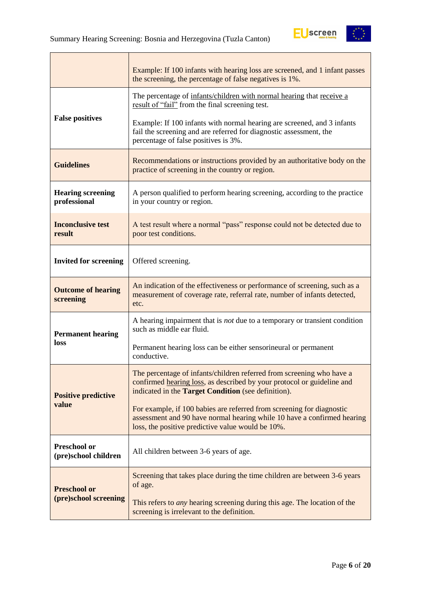

|                                             | Example: If 100 infants with hearing loss are screened, and 1 infant passes<br>the screening, the percentage of false negatives is 1%.                                                                 |
|---------------------------------------------|--------------------------------------------------------------------------------------------------------------------------------------------------------------------------------------------------------|
|                                             | The percentage of infants/children with normal hearing that receive a<br>result of "fail" from the final screening test.                                                                               |
| <b>False positives</b>                      | Example: If 100 infants with normal hearing are screened, and 3 infants<br>fail the screening and are referred for diagnostic assessment, the<br>percentage of false positives is 3%.                  |
| <b>Guidelines</b>                           | Recommendations or instructions provided by an authoritative body on the<br>practice of screening in the country or region.                                                                            |
| <b>Hearing screening</b><br>professional    | A person qualified to perform hearing screening, according to the practice<br>in your country or region.                                                                                               |
| <b>Inconclusive test</b><br>result          | A test result where a normal "pass" response could not be detected due to<br>poor test conditions.                                                                                                     |
| <b>Invited for screening</b>                | Offered screening.                                                                                                                                                                                     |
| <b>Outcome of hearing</b><br>screening      | An indication of the effectiveness or performance of screening, such as a<br>measurement of coverage rate, referral rate, number of infants detected,<br>etc.                                          |
| <b>Permanent hearing</b>                    | A hearing impairment that is <i>not</i> due to a temporary or transient condition<br>such as middle ear fluid.                                                                                         |
| loss                                        | Permanent hearing loss can be either sensorineural or permanent<br>conductive.                                                                                                                         |
| <b>Positive predictive</b>                  | The percentage of infants/children referred from screening who have a<br>confirmed hearing loss, as described by your protocol or guideline and<br>indicated in the Target Condition (see definition). |
| value                                       | For example, if 100 babies are referred from screening for diagnostic<br>assessment and 90 have normal hearing while 10 have a confirmed hearing<br>loss, the positive predictive value would be 10%.  |
| <b>Preschool or</b><br>(pre)school children | All children between 3-6 years of age.                                                                                                                                                                 |
| <b>Preschool or</b>                         | Screening that takes place during the time children are between 3-6 years<br>of age.                                                                                                                   |
| (pre)school screening                       | This refers to <i>any</i> hearing screening during this age. The location of the<br>screening is irrelevant to the definition.                                                                         |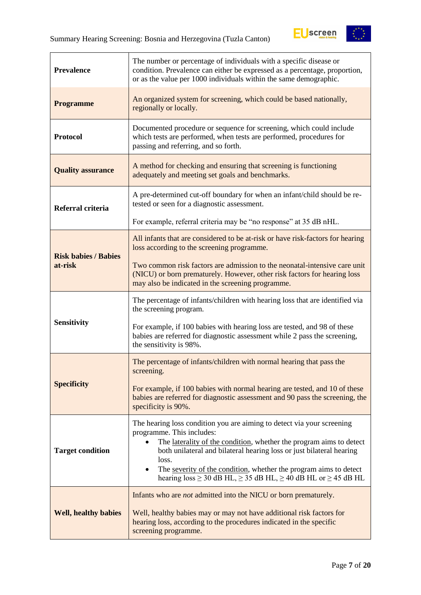

| <b>Prevalence</b>           | The number or percentage of individuals with a specific disease or<br>condition. Prevalence can either be expressed as a percentage, proportion,<br>or as the value per 1000 individuals within the same demographic.                                                                                                                                                                                                          |  |  |
|-----------------------------|--------------------------------------------------------------------------------------------------------------------------------------------------------------------------------------------------------------------------------------------------------------------------------------------------------------------------------------------------------------------------------------------------------------------------------|--|--|
| <b>Programme</b>            | An organized system for screening, which could be based nationally,<br>regionally or locally.                                                                                                                                                                                                                                                                                                                                  |  |  |
| <b>Protocol</b>             | Documented procedure or sequence for screening, which could include<br>which tests are performed, when tests are performed, procedures for<br>passing and referring, and so forth.                                                                                                                                                                                                                                             |  |  |
| <b>Quality assurance</b>    | A method for checking and ensuring that screening is functioning<br>adequately and meeting set goals and benchmarks.                                                                                                                                                                                                                                                                                                           |  |  |
| Referral criteria           | A pre-determined cut-off boundary for when an infant/child should be re-<br>tested or seen for a diagnostic assessment.                                                                                                                                                                                                                                                                                                        |  |  |
|                             | For example, referral criteria may be "no response" at 35 dB nHL.                                                                                                                                                                                                                                                                                                                                                              |  |  |
| <b>Risk babies / Babies</b> | All infants that are considered to be at-risk or have risk-factors for hearing<br>loss according to the screening programme.                                                                                                                                                                                                                                                                                                   |  |  |
| at-risk                     | Two common risk factors are admission to the neonatal-intensive care unit<br>(NICU) or born prematurely. However, other risk factors for hearing loss<br>may also be indicated in the screening programme.                                                                                                                                                                                                                     |  |  |
|                             | The percentage of infants/children with hearing loss that are identified via<br>the screening program.                                                                                                                                                                                                                                                                                                                         |  |  |
| <b>Sensitivity</b>          | For example, if 100 babies with hearing loss are tested, and 98 of these<br>babies are referred for diagnostic assessment while 2 pass the screening,<br>the sensitivity is 98%.                                                                                                                                                                                                                                               |  |  |
|                             | The percentage of infants/children with normal hearing that pass the<br>screening.                                                                                                                                                                                                                                                                                                                                             |  |  |
| <b>Specificity</b>          | For example, if 100 babies with normal hearing are tested, and 10 of these<br>babies are referred for diagnostic assessment and 90 pass the screening, the<br>specificity is 90%.                                                                                                                                                                                                                                              |  |  |
| <b>Target condition</b>     | The hearing loss condition you are aiming to detect via your screening<br>programme. This includes:<br>The laterality of the condition, whether the program aims to detect<br>both unilateral and bilateral hearing loss or just bilateral hearing<br>loss.<br>The severity of the condition, whether the program aims to detect<br>$\bullet$<br>hearing $loss \ge 30$ dB HL, $\ge 35$ dB HL, $\ge 40$ dB HL or $\ge 45$ dB HL |  |  |
| <b>Well, healthy babies</b> | Infants who are <i>not</i> admitted into the NICU or born prematurely.<br>Well, healthy babies may or may not have additional risk factors for<br>hearing loss, according to the procedures indicated in the specific<br>screening programme.                                                                                                                                                                                  |  |  |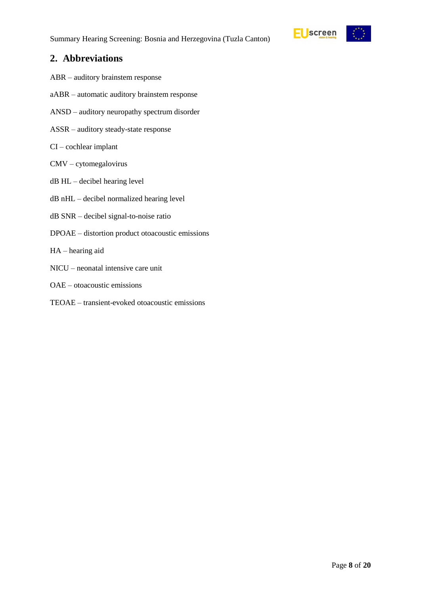

### <span id="page-7-0"></span>**2. Abbreviations**

- ABR auditory brainstem response
- aABR automatic auditory brainstem response
- ANSD auditory neuropathy spectrum disorder
- ASSR auditory steady-state response
- CI cochlear implant
- CMV cytomegalovirus
- dB HL decibel hearing level
- dB nHL decibel normalized hearing level
- dB SNR decibel signal-to-noise ratio
- DPOAE distortion product otoacoustic emissions
- HA hearing aid
- NICU neonatal intensive care unit
- OAE otoacoustic emissions
- TEOAE transient-evoked otoacoustic emissions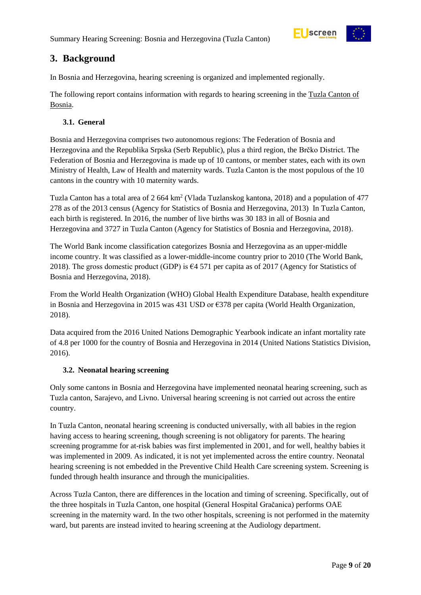

## <span id="page-8-0"></span>**3. Background**

In Bosnia and Herzegovina, hearing screening is organized and implemented regionally.

The following report contains information with regards to hearing screening in the Tuzla Canton of Bosnia.

#### <span id="page-8-1"></span>**3.1. General**

Bosnia and Herzegovina comprises two autonomous regions: The Federation of Bosnia and Herzegovina and the Republika Srpska (Serb Republic), plus a third region, the Brčko District. The Federation of Bosnia and Herzegovina is made up of 10 cantons, or member states, each with its own Ministry of Health, Law of Health and maternity wards. Tuzla Canton is the most populous of the 10 cantons in the country with 10 maternity wards.

Tuzla Canton has a total area of 2 664 km<sup>2</sup> (Vlada Tuzlanskog kantona, 2018) and a population of 477 278 as of the 2013 census (Agency for Statistics of Bosnia and Herzegovina, 2013) In Tuzla Canton, each birth is registered. In 2016, the number of live births was 30 183 in all of Bosnia and Herzegovina and 3727 in Tuzla Canton (Agency for Statistics of Bosnia and Herzegovina, 2018).

The World Bank income classification categorizes Bosnia and Herzegovina as an upper-middle income country. It was classified as a lower-middle-income country prior to 2010 (The World Bank, 2018). The gross domestic product (GDP) is  $\epsilon$ 4 571 per capita as of 2017 (Agency for Statistics of Bosnia and Herzegovina, 2018).

From the World Health Organization (WHO) Global Health Expenditure Database, health expenditure in Bosnia and Herzegovina in 2015 was 431 USD or €378 per capita (World Health Organization, 2018).

Data acquired from the 2016 United Nations Demographic Yearbook indicate an infant mortality rate of 4.8 per 1000 for the country of Bosnia and Herzegovina in 2014 (United Nations Statistics Division, 2016).

#### <span id="page-8-2"></span>**3.2. Neonatal hearing screening**

Only some cantons in Bosnia and Herzegovina have implemented neonatal hearing screening, such as Tuzla canton, Sarajevo, and Livno. Universal hearing screening is not carried out across the entire country.

In Tuzla Canton, neonatal hearing screening is conducted universally, with all babies in the region having access to hearing screening, though screening is not obligatory for parents. The hearing screening programme for at-risk babies was first implemented in 2001, and for well, healthy babies it was implemented in 2009. As indicated, it is not yet implemented across the entire country. Neonatal hearing screening is not embedded in the Preventive Child Health Care screening system. Screening is funded through health insurance and through the municipalities.

Across Tuzla Canton, there are differences in the location and timing of screening. Specifically, out of the three hospitals in Tuzla Canton, one hospital (General Hospital Gračanica) performs OAE screening in the maternity ward. In the two other hospitals, screening is not performed in the maternity ward, but parents are instead invited to hearing screening at the Audiology department.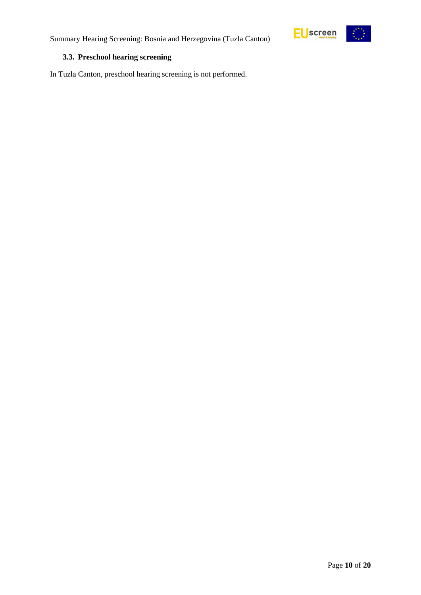

#### <span id="page-9-0"></span>**3.3. Preschool hearing screening**

In Tuzla Canton, preschool hearing screening is not performed.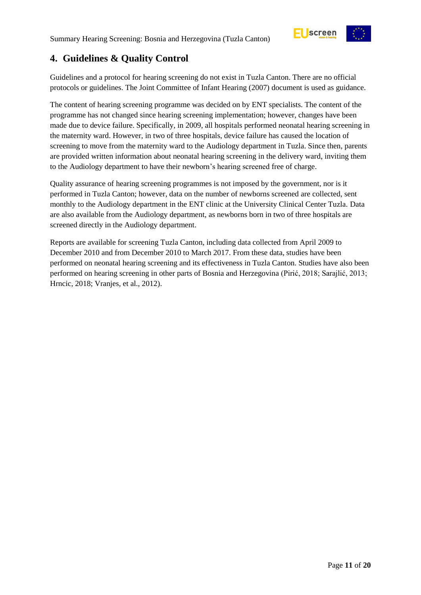

## <span id="page-10-0"></span>**4. Guidelines & Quality Control**

Guidelines and a protocol for hearing screening do not exist in Tuzla Canton. There are no official protocols or guidelines. The Joint Committee of Infant Hearing (2007) document is used as guidance.

The content of hearing screening programme was decided on by ENT specialists. The content of the programme has not changed since hearing screening implementation; however, changes have been made due to device failure. Specifically, in 2009, all hospitals performed neonatal hearing screening in the maternity ward. However, in two of three hospitals, device failure has caused the location of screening to move from the maternity ward to the Audiology department in Tuzla. Since then, parents are provided written information about neonatal hearing screening in the delivery ward, inviting them to the Audiology department to have their newborn's hearing screened free of charge.

Quality assurance of hearing screening programmes is not imposed by the government, nor is it performed in Tuzla Canton; however, data on the number of newborns screened are collected, sent monthly to the Audiology department in the ENT clinic at the University Clinical Center Tuzla. Data are also available from the Audiology department, as newborns born in two of three hospitals are screened directly in the Audiology department.

Reports are available for screening Tuzla Canton, including data collected from April 2009 to December 2010 and from December 2010 to March 2017. From these data, studies have been performed on neonatal hearing screening and its effectiveness in Tuzla Canton. Studies have also been performed on hearing screening in other parts of Bosnia and Herzegovina (Pirić, 2018; Sarajlić, 2013; Hrncic, 2018; Vranjes, et al., 2012).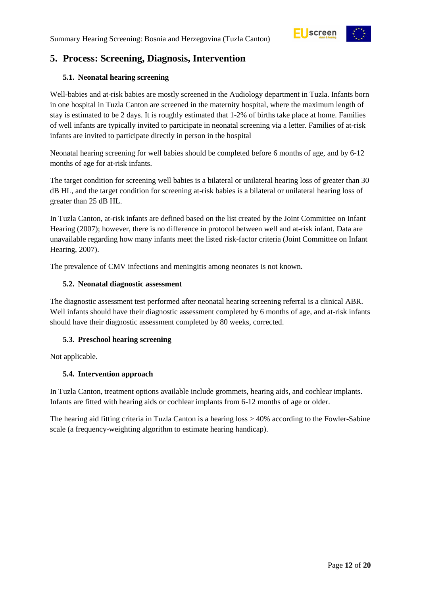

## <span id="page-11-0"></span>**5. Process: Screening, Diagnosis, Intervention**

#### <span id="page-11-1"></span>**5.1. Neonatal hearing screening**

Well-babies and at-risk babies are mostly screened in the Audiology department in Tuzla. Infants born in one hospital in Tuzla Canton are screened in the maternity hospital, where the maximum length of stay is estimated to be 2 days. It is roughly estimated that 1-2% of births take place at home. Families of well infants are typically invited to participate in neonatal screening via a letter. Families of at-risk infants are invited to participate directly in person in the hospital

Neonatal hearing screening for well babies should be completed before 6 months of age, and by 6-12 months of age for at-risk infants.

The target condition for screening well babies is a bilateral or unilateral hearing loss of greater than 30 dB HL, and the target condition for screening at-risk babies is a bilateral or unilateral hearing loss of greater than 25 dB HL.

In Tuzla Canton, at-risk infants are defined based on the list created by the Joint Committee on Infant Hearing (2007); however, there is no difference in protocol between well and at-risk infant. Data are unavailable regarding how many infants meet the listed risk-factor criteria (Joint Committee on Infant Hearing, 2007).

The prevalence of CMV infections and meningitis among neonates is not known.

#### <span id="page-11-2"></span>**5.2. Neonatal diagnostic assessment**

The diagnostic assessment test performed after neonatal hearing screening referral is a clinical ABR. Well infants should have their diagnostic assessment completed by 6 months of age, and at-risk infants should have their diagnostic assessment completed by 80 weeks, corrected.

#### <span id="page-11-3"></span>**5.3. Preschool hearing screening**

Not applicable.

#### <span id="page-11-4"></span>**5.4. Intervention approach**

In Tuzla Canton, treatment options available include grommets, hearing aids, and cochlear implants. Infants are fitted with hearing aids or cochlear implants from 6-12 months of age or older.

The hearing aid fitting criteria in Tuzla Canton is a hearing loss > 40% according to the Fowler-Sabine scale (a frequency-weighting algorithm to estimate hearing handicap).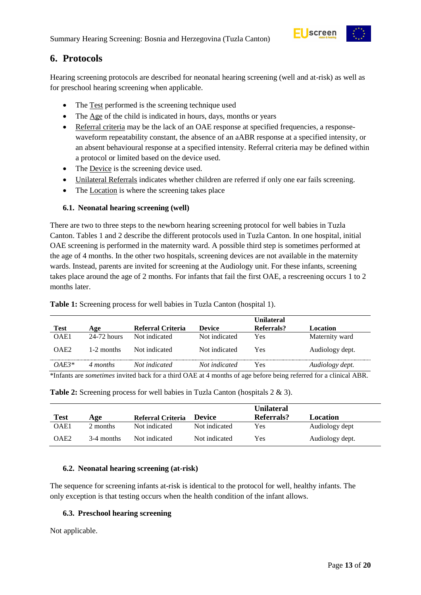

## <span id="page-12-0"></span>**6. Protocols**

Hearing screening protocols are described for neonatal hearing screening (well and at-risk) as well as for preschool hearing screening when applicable.

- The Test performed is the screening technique used
- The Age of the child is indicated in hours, days, months or years
- Referral criteria may be the lack of an OAE response at specified frequencies, a responsewaveform repeatability constant, the absence of an aABR response at a specified intensity, or an absent behavioural response at a specified intensity. Referral criteria may be defined within a protocol or limited based on the device used.
- The Device is the screening device used.
- Unilateral Referrals indicates whether children are referred if only one ear fails screening.
- The Location is where the screening takes place

#### <span id="page-12-1"></span>**6.1. Neonatal hearing screening (well)**

There are two to three steps to the newborn hearing screening protocol for well babies in Tuzla Canton. Tables 1 and 2 describe the different protocols used in Tuzla Canton. In one hospital, initial OAE screening is performed in the maternity ward. A possible third step is sometimes performed at the age of 4 months. In the other two hospitals, screening devices are not available in the maternity wards. Instead, parents are invited for screening at the Audiology unit. For these infants, screening takes place around the age of 2 months. For infants that fail the first OAE, a rescreening occurs 1 to 2 months later.

|                  |               |                   |               | Unilateral |                 |
|------------------|---------------|-------------------|---------------|------------|-----------------|
| <b>Test</b>      | Age           | Referral Criteria | <b>Device</b> | Referrals? | Location        |
| OAE1             | $24-72$ hours | Not indicated     | Not indicated | Yes        | Maternity ward  |
| OAE <sub>2</sub> | 1-2 months    | Not indicated     | Not indicated | Yes        | Audiology dept. |
| $OAF3*$          | 4 months      | Not indicated     | Not indicated | Yes        | Audiology dept. |

<span id="page-12-4"></span>**Table 1:** Screening process for well babies in Tuzla Canton (hospital 1).

<span id="page-12-5"></span>\*Infants are *sometimes* invited back for a third OAE at 4 months of age before being referred for a clinical ABR.

**Table 2:** Screening process for well babies in Tuzla Canton (hospitals 2 & 3).

|                  |            |                   |               | <b>Unilateral</b> |                 |
|------------------|------------|-------------------|---------------|-------------------|-----------------|
| Test             | Age        | Referral Criteria | <b>Device</b> | Referrals?        | Location        |
| OAE1             | 2 months   | Not indicated     | Not indicated | Yes               | Audiology dept  |
| OAE <sub>2</sub> | 3-4 months | Not indicated     | Not indicated | Yes               | Audiology dept. |

#### <span id="page-12-2"></span>**6.2. Neonatal hearing screening (at-risk)**

The sequence for screening infants at-risk is identical to the protocol for well, healthy infants. The only exception is that testing occurs when the health condition of the infant allows.

#### <span id="page-12-3"></span>**6.3. Preschool hearing screening**

Not applicable.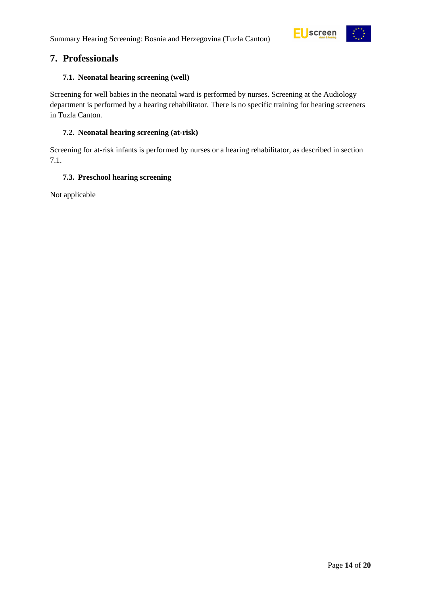

### <span id="page-13-0"></span>**7. Professionals**

#### <span id="page-13-1"></span>**7.1. Neonatal hearing screening (well)**

Screening for well babies in the neonatal ward is performed by nurses. Screening at the Audiology department is performed by a hearing rehabilitator. There is no specific training for hearing screeners in Tuzla Canton.

#### <span id="page-13-2"></span>**7.2. Neonatal hearing screening (at-risk)**

Screening for at-risk infants is performed by nurses or a hearing rehabilitator, as described in section 7.1.

#### <span id="page-13-3"></span>**7.3. Preschool hearing screening**

Not applicable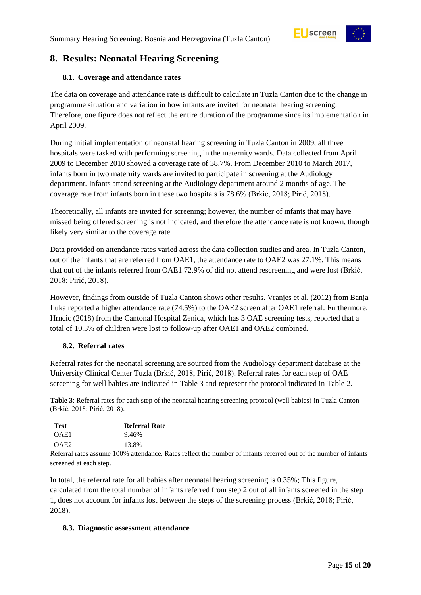

## <span id="page-14-0"></span>**8. Results: Neonatal Hearing Screening**

#### <span id="page-14-1"></span>**8.1. Coverage and attendance rates**

The data on coverage and attendance rate is difficult to calculate in Tuzla Canton due to the change in programme situation and variation in how infants are invited for neonatal hearing screening. Therefore, one figure does not reflect the entire duration of the programme since its implementation in April 2009.

During initial implementation of neonatal hearing screening in Tuzla Canton in 2009, all three hospitals were tasked with performing screening in the maternity wards. Data collected from April 2009 to December 2010 showed a coverage rate of 38.7%. From December 2010 to March 2017, infants born in two maternity wards are invited to participate in screening at the Audiology department. Infants attend screening at the Audiology department around 2 months of age. The coverage rate from infants born in these two hospitals is 78.6% (Brkić, 2018; Pirić, 2018).

Theoretically, all infants are invited for screening; however, the number of infants that may have missed being offered screening is not indicated, and therefore the attendance rate is not known, though likely very similar to the coverage rate.

Data provided on attendance rates varied across the data collection studies and area. In Tuzla Canton, out of the infants that are referred from OAE1, the attendance rate to OAE2 was 27.1%. This means that out of the infants referred from OAE1 72.9% of did not attend rescreening and were lost (Brkić, 2018; Pirić, 2018).

However, findings from outside of Tuzla Canton shows other results. Vranjes et al. (2012) from Banja Luka reported a higher attendance rate (74.5%) to the OAE2 screen after OAE1 referral. Furthermore, Hrncic (2018) from the Cantonal Hospital Zenica, which has 3 OAE screening tests, reported that a total of 10.3% of children were lost to follow-up after OAE1 and OAE2 combined.

#### <span id="page-14-2"></span>**8.2. Referral rates**

Referral rates for the neonatal screening are sourced from the Audiology department database at the University Clinical Center Tuzla (Brkić, 2018; Pirić, 2018). Referral rates for each step of OAE screening for well babies are indicated in Table 3 and represent the protocol indicated in Table 2.

<span id="page-14-4"></span>**Table 3**: Referral rates for each step of the neonatal hearing screening protocol (well babies) in Tuzla Canton (Brkić, 2018; Pirić, 2018).

| <b>Test</b>      | <b>Referral Rate</b> |  |
|------------------|----------------------|--|
| OAE1             | 9.46%                |  |
| OAE <sub>2</sub> | 13.8%                |  |

Referral rates assume 100% attendance. Rates reflect the number of infants referred out of the number of infants screened at each step.

In total, the referral rate for all babies after neonatal hearing screening is 0.35%; This figure, calculated from the total number of infants referred from step 2 out of all infants screened in the step 1, does not account for infants lost between the steps of the screening process (Brkić, 2018; Pirić, 2018).

#### <span id="page-14-3"></span>**8.3. Diagnostic assessment attendance**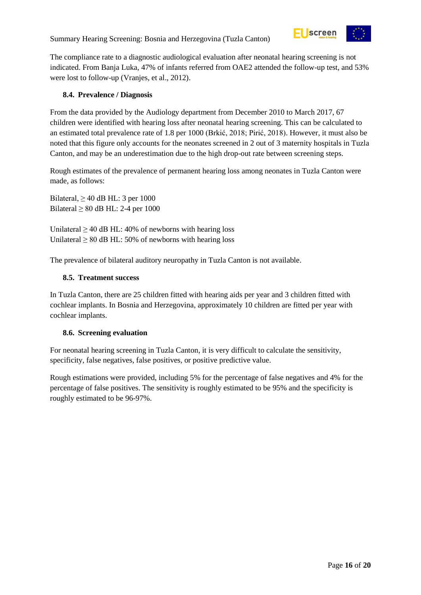Summary Hearing Screening: Bosnia and Herzegovina (Tuzla Canton)



The compliance rate to a diagnostic audiological evaluation after neonatal hearing screening is not indicated. From Banja Luka, 47% of infants referred from OAE2 attended the follow-up test, and 53% were lost to follow-up (Vranjes, et al., 2012).

#### <span id="page-15-0"></span>**8.4. Prevalence / Diagnosis**

From the data provided by the Audiology department from December 2010 to March 2017, 67 children were identified with hearing loss after neonatal hearing screening. This can be calculated to an estimated total prevalence rate of 1.8 per 1000 (Brkić, 2018; Pirić, 2018). However, it must also be noted that this figure only accounts for the neonates screened in 2 out of 3 maternity hospitals in Tuzla Canton, and may be an underestimation due to the high drop-out rate between screening steps.

Rough estimates of the prevalence of permanent hearing loss among neonates in Tuzla Canton were made, as follows:

Bilateral,  $\geq$  40 dB HL: 3 per 1000 Bilateral  $\geq 80$  dB HL: 2-4 per 1000

Unilateral  $\geq$  40 dB HL: 40% of newborns with hearing loss Unilateral  $\geq 80$  dB HL: 50% of newborns with hearing loss

The prevalence of bilateral auditory neuropathy in Tuzla Canton is not available.

#### <span id="page-15-1"></span>**8.5. Treatment success**

In Tuzla Canton, there are 25 children fitted with hearing aids per year and 3 children fitted with cochlear implants. In Bosnia and Herzegovina, approximately 10 children are fitted per year with cochlear implants.

#### <span id="page-15-2"></span>**8.6. Screening evaluation**

For neonatal hearing screening in Tuzla Canton, it is very difficult to calculate the sensitivity, specificity, false negatives, false positives, or positive predictive value.

Rough estimations were provided, including 5% for the percentage of false negatives and 4% for the percentage of false positives. The sensitivity is roughly estimated to be 95% and the specificity is roughly estimated to be 96-97%.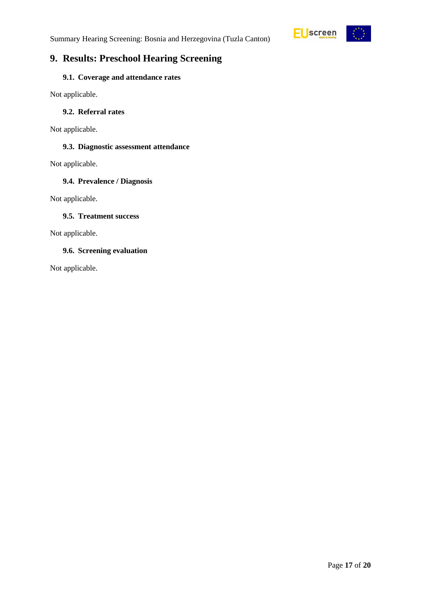

## <span id="page-16-0"></span>**9. Results: Preschool Hearing Screening**

#### <span id="page-16-1"></span>**9.1. Coverage and attendance rates**

Not applicable.

#### <span id="page-16-2"></span>**9.2. Referral rates**

Not applicable.

#### <span id="page-16-3"></span>**9.3. Diagnostic assessment attendance**

Not applicable.

#### <span id="page-16-4"></span>**9.4. Prevalence / Diagnosis**

Not applicable.

#### <span id="page-16-5"></span>**9.5. Treatment success**

Not applicable.

#### <span id="page-16-6"></span>**9.6. Screening evaluation**

Not applicable.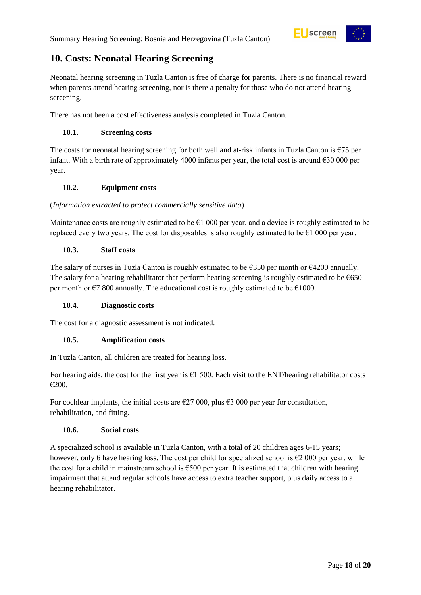

## <span id="page-17-0"></span>**10. Costs: Neonatal Hearing Screening**

Neonatal hearing screening in Tuzla Canton is free of charge for parents. There is no financial reward when parents attend hearing screening, nor is there a penalty for those who do not attend hearing screening.

There has not been a cost effectiveness analysis completed in Tuzla Canton.

#### <span id="page-17-1"></span>**10.1. Screening costs**

The costs for neonatal hearing screening for both well and at-risk infants in Tuzla Canton is  $\epsilon$ 75 per infant. With a birth rate of approximately 4000 infants per year, the total cost is around  $\epsilon$ 30 000 per year.

#### <span id="page-17-2"></span>**10.2. Equipment costs**

#### (*Information extracted to protect commercially sensitive data*)

Maintenance costs are roughly estimated to be  $E1$  000 per year, and a device is roughly estimated to be replaced every two years. The cost for disposables is also roughly estimated to be  $\epsilon$ 1 000 per year.

#### <span id="page-17-3"></span>**10.3. Staff costs**

The salary of nurses in Tuzla Canton is roughly estimated to be  $\epsilon$ 350 per month or  $\epsilon$ 4200 annually. The salary for a hearing rehabilitator that perform hearing screening is roughly estimated to be  $\epsilon$ 650 per month or  $\epsilon$ 7 800 annually. The educational cost is roughly estimated to be  $\epsilon$ 1000.

#### <span id="page-17-4"></span>**10.4. Diagnostic costs**

The cost for a diagnostic assessment is not indicated.

#### <span id="page-17-5"></span>**10.5. Amplification costs**

In Tuzla Canton, all children are treated for hearing loss.

For hearing aids, the cost for the first year is  $\epsilon$ 1 500. Each visit to the ENT/hearing rehabilitator costs €200.

For cochlear implants, the initial costs are  $\epsilon$ 27 000, plus  $\epsilon$ 3 000 per year for consultation, rehabilitation, and fitting.

#### <span id="page-17-6"></span>**10.6. Social costs**

A specialized school is available in Tuzla Canton, with a total of 20 children ages 6-15 years; however, only 6 have hearing loss. The cost per child for specialized school is  $\epsilon$ 2 000 per year, while the cost for a child in mainstream school is  $\epsilon$ 500 per year. It is estimated that children with hearing impairment that attend regular schools have access to extra teacher support, plus daily access to a hearing rehabilitator.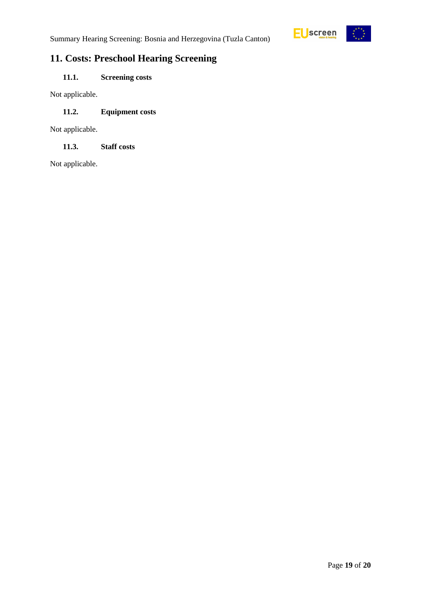

## <span id="page-18-0"></span>**11. Costs: Preschool Hearing Screening**

### <span id="page-18-1"></span>**11.1. Screening costs**

Not applicable.

#### <span id="page-18-2"></span>**11.2. Equipment costs**

Not applicable.

#### <span id="page-18-3"></span>**11.3. Staff costs**

Not applicable.